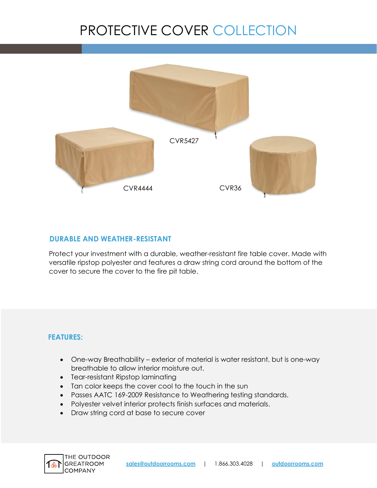## PROTECTIVE COVER COLLECTION



## **DURABLE AND WEATHER-RESISTANT**

Protect your investment with a durable, weather-resistant fire table cover. Made with versatile ripstop polyester and features a draw string cord around the bottom of the cover to secure the cover to the fire pit table.

## **FEATURES:**

- One-way Breathability exterior of material is water resistant, but is one-way breathable to allow interior moisture out.
- Tear-resistant Ripstop laminating
- Tan color keeps the cover cool to the touch in the sun
- Passes AATC 169-2009 Resistance to Weathering testing standards.
- Polyester velvet interior protects finish surfaces and materials.
- Draw string cord at base to secure cover